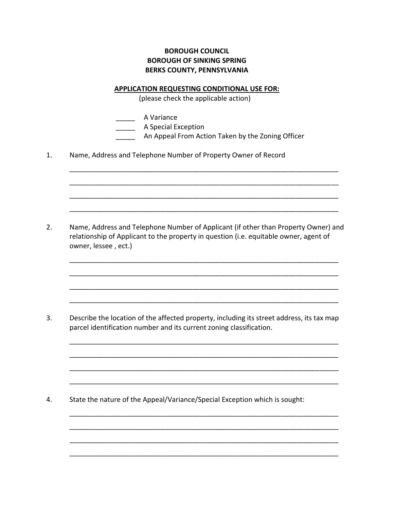## **BOROUGH COUNCIL BOROUGH OF SINKING SPRING BERKS COUNTY, PENNSYLVANIA**

## **APPLICATION REQUESTING CONDITIONAL USE FOR:**

(please check the applicable action)

\_\_\_\_\_ A Variance

\_\_\_\_\_\_\_ A Special Exception

\_\_\_\_\_ An Appeal From Action Taken by the Zoning Officer

\_\_\_\_\_\_\_\_\_\_\_\_\_\_\_\_\_\_\_\_\_\_\_\_\_\_\_\_\_\_\_\_\_\_\_\_\_\_\_\_\_\_\_\_\_\_\_\_\_\_\_\_\_\_\_\_\_\_\_\_\_\_\_\_\_\_\_\_\_\_

\_\_\_\_\_\_\_\_\_\_\_\_\_\_\_\_\_\_\_\_\_\_\_\_\_\_\_\_\_\_\_\_\_\_\_\_\_\_\_\_\_\_\_\_\_\_\_\_\_\_\_\_\_\_\_\_\_\_\_\_\_\_\_\_\_\_\_\_\_\_

\_\_\_\_\_\_\_\_\_\_\_\_\_\_\_\_\_\_\_\_\_\_\_\_\_\_\_\_\_\_\_\_\_\_\_\_\_\_\_\_\_\_\_\_\_\_\_\_\_\_\_\_\_\_\_\_\_\_\_\_\_\_\_\_\_\_\_\_\_\_

\_\_\_\_\_\_\_\_\_\_\_\_\_\_\_\_\_\_\_\_\_\_\_\_\_\_\_\_\_\_\_\_\_\_\_\_\_\_\_\_\_\_\_\_\_\_\_\_\_\_\_\_\_\_\_\_\_\_\_\_\_\_\_\_\_\_\_\_\_\_

\_\_\_\_\_\_\_\_\_\_\_\_\_\_\_\_\_\_\_\_\_\_\_\_\_\_\_\_\_\_\_\_\_\_\_\_\_\_\_\_\_\_\_\_\_\_\_\_\_\_\_\_\_\_\_\_\_\_\_\_\_\_\_\_\_\_\_\_\_\_

\_\_\_\_\_\_\_\_\_\_\_\_\_\_\_\_\_\_\_\_\_\_\_\_\_\_\_\_\_\_\_\_\_\_\_\_\_\_\_\_\_\_\_\_\_\_\_\_\_\_\_\_\_\_\_\_\_\_\_\_\_\_\_\_\_\_\_\_\_\_

\_\_\_\_\_\_\_\_\_\_\_\_\_\_\_\_\_\_\_\_\_\_\_\_\_\_\_\_\_\_\_\_\_\_\_\_\_\_\_\_\_\_\_\_\_\_\_\_\_\_\_\_\_\_\_\_\_\_\_\_\_\_\_\_\_\_\_\_\_\_

\_\_\_\_\_\_\_\_\_\_\_\_\_\_\_\_\_\_\_\_\_\_\_\_\_\_\_\_\_\_\_\_\_\_\_\_\_\_\_\_\_\_\_\_\_\_\_\_\_\_\_\_\_\_\_\_\_\_\_\_\_\_\_\_\_\_\_\_\_\_

\_\_\_\_\_\_\_\_\_\_\_\_\_\_\_\_\_\_\_\_\_\_\_\_\_\_\_\_\_\_\_\_\_\_\_\_\_\_\_\_\_\_\_\_\_\_\_\_\_\_\_\_\_\_\_\_\_\_\_\_\_\_\_\_\_\_\_\_\_\_

\_\_\_\_\_\_\_\_\_\_\_\_\_\_\_\_\_\_\_\_\_\_\_\_\_\_\_\_\_\_\_\_\_\_\_\_\_\_\_\_\_\_\_\_\_\_\_\_\_\_\_\_\_\_\_\_\_\_\_\_\_\_\_\_\_\_\_\_\_\_

\_\_\_\_\_\_\_\_\_\_\_\_\_\_\_\_\_\_\_\_\_\_\_\_\_\_\_\_\_\_\_\_\_\_\_\_\_\_\_\_\_\_\_\_\_\_\_\_\_\_\_\_\_\_\_\_\_\_\_\_\_\_\_\_\_\_\_\_\_\_

\_\_\_\_\_\_\_\_\_\_\_\_\_\_\_\_\_\_\_\_\_\_\_\_\_\_\_\_\_\_\_\_\_\_\_\_\_\_\_\_\_\_\_\_\_\_\_\_\_\_\_\_\_\_\_\_\_\_\_\_\_\_\_\_\_\_\_\_\_\_

\_\_\_\_\_\_\_\_\_\_\_\_\_\_\_\_\_\_\_\_\_\_\_\_\_\_\_\_\_\_\_\_\_\_\_\_\_\_\_\_\_\_\_\_\_\_\_\_\_\_\_\_\_\_\_\_\_\_\_\_\_\_\_\_\_\_\_\_\_\_

\_\_\_\_\_\_\_\_\_\_\_\_\_\_\_\_\_\_\_\_\_\_\_\_\_\_\_\_\_\_\_\_\_\_\_\_\_\_\_\_\_\_\_\_\_\_\_\_\_\_\_\_\_\_\_\_\_\_\_\_\_\_\_\_\_\_\_\_\_\_

\_\_\_\_\_\_\_\_\_\_\_\_\_\_\_\_\_\_\_\_\_\_\_\_\_\_\_\_\_\_\_\_\_\_\_\_\_\_\_\_\_\_\_\_\_\_\_\_\_\_\_\_\_\_\_\_\_\_\_\_\_\_\_\_\_\_\_\_\_\_

\_\_\_\_\_\_\_\_\_\_\_\_\_\_\_\_\_\_\_\_\_\_\_\_\_\_\_\_\_\_\_\_\_\_\_\_\_\_\_\_\_\_\_\_\_\_\_\_\_\_\_\_\_\_\_\_\_\_\_\_\_\_\_\_\_\_\_\_\_\_

1. Name, Address and Telephone Number of Property Owner of Record

2. Name, Address and Telephone Number of Applicant (if other than Property Owner) and relationship of Applicant to the property in question (i.e. equitable owner, agent of owner, lessee , ect.)

3. Describe the location of the affected property, including its street address, its tax map parcel identification number and its current zoning classification.

4. State the nature of the Appeal/Variance/Special Exception which is sought: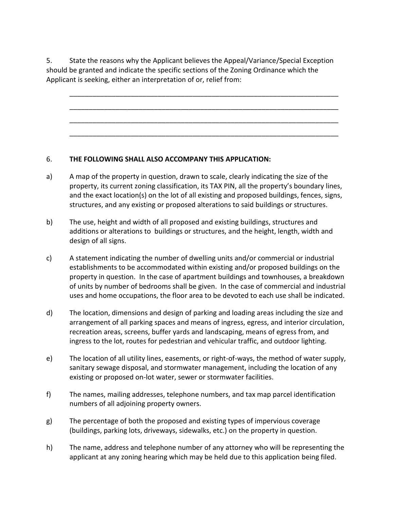5. State the reasons why the Applicant believes the Appeal/Variance/Special Exception should be granted and indicate the specific sections of the Zoning Ordinance which the Applicant is seeking, either an interpretation of or, relief from:

\_\_\_\_\_\_\_\_\_\_\_\_\_\_\_\_\_\_\_\_\_\_\_\_\_\_\_\_\_\_\_\_\_\_\_\_\_\_\_\_\_\_\_\_\_\_\_\_\_\_\_\_\_\_\_\_\_\_\_\_\_\_\_\_\_\_\_\_\_\_

\_\_\_\_\_\_\_\_\_\_\_\_\_\_\_\_\_\_\_\_\_\_\_\_\_\_\_\_\_\_\_\_\_\_\_\_\_\_\_\_\_\_\_\_\_\_\_\_\_\_\_\_\_\_\_\_\_\_\_\_\_\_\_\_\_\_\_\_\_\_

\_\_\_\_\_\_\_\_\_\_\_\_\_\_\_\_\_\_\_\_\_\_\_\_\_\_\_\_\_\_\_\_\_\_\_\_\_\_\_\_\_\_\_\_\_\_\_\_\_\_\_\_\_\_\_\_\_\_\_\_\_\_\_\_\_\_\_\_\_\_

\_\_\_\_\_\_\_\_\_\_\_\_\_\_\_\_\_\_\_\_\_\_\_\_\_\_\_\_\_\_\_\_\_\_\_\_\_\_\_\_\_\_\_\_\_\_\_\_\_\_\_\_\_\_\_\_\_\_\_\_\_\_\_\_\_\_\_\_\_\_

## 6. **THE FOLLOWING SHALL ALSO ACCOMPANY THIS APPLICATION:**

- a) A map of the property in question, drawn to scale, clearly indicating the size of the property, its current zoning classification, its TAX PIN, all the property's boundary lines, and the exact location(s) on the lot of all existing and proposed buildings, fences, signs, structures, and any existing or proposed alterations to said buildings or structures.
- b) The use, height and width of all proposed and existing buildings, structures and additions or alterations to buildings or structures, and the height, length, width and design of all signs.
- c) A statement indicating the number of dwelling units and/or commercial or industrial establishments to be accommodated within existing and/or proposed buildings on the property in question. In the case of apartment buildings and townhouses, a breakdown of units by number of bedrooms shall be given. In the case of commercial and industrial uses and home occupations, the floor area to be devoted to each use shall be indicated.
- d) The location, dimensions and design of parking and loading areas including the size and arrangement of all parking spaces and means of ingress, egress, and interior circulation, recreation areas, screens, buffer yards and landscaping, means of egress from, and ingress to the lot, routes for pedestrian and vehicular traffic, and outdoor lighting.
- e) The location of all utility lines, easements, or right-of-ways, the method of water supply, sanitary sewage disposal, and stormwater management, including the location of any existing or proposed on-lot water, sewer or stormwater facilities.
- f) The names, mailing addresses, telephone numbers, and tax map parcel identification numbers of all adjoining property owners.
- g) The percentage of both the proposed and existing types of impervious coverage (buildings, parking lots, driveways, sidewalks, etc.) on the property in question.
- h) The name, address and telephone number of any attorney who will be representing the applicant at any zoning hearing which may be held due to this application being filed.